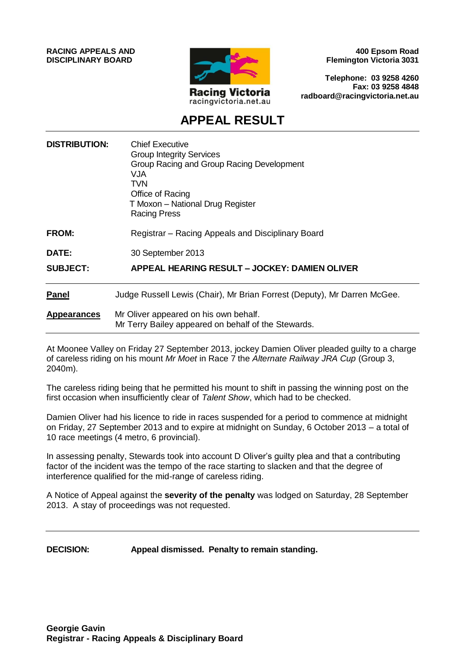**RACING APPEALS AND DISCIPLINARY BOARD**



**400 Epsom Road Flemington Victoria 3031**

**Telephone: 03 9258 4260 Fax: 03 9258 4848 radboard@racingvictoria.net.au**

# **APPEAL RESULT**

| <b>DISTRIBUTION:</b> | <b>Chief Executive</b><br><b>Group Integrity Services</b><br>Group Racing and Group Racing Development<br><b>VJA</b><br><b>TVN</b><br>Office of Racing<br>T Moxon - National Drug Register<br><b>Racing Press</b> |
|----------------------|-------------------------------------------------------------------------------------------------------------------------------------------------------------------------------------------------------------------|
| <b>FROM:</b>         | Registrar - Racing Appeals and Disciplinary Board                                                                                                                                                                 |
| DATE:                | 30 September 2013                                                                                                                                                                                                 |
| <b>SUBJECT:</b>      | APPEAL HEARING RESULT – JOCKEY: DAMIEN OLIVER                                                                                                                                                                     |
| <b>Panel</b>         | Judge Russell Lewis (Chair), Mr Brian Forrest (Deputy), Mr Darren McGee.                                                                                                                                          |
| <b>Appearances</b>   | Mr Oliver appeared on his own behalf.<br>Mr Terry Bailey appeared on behalf of the Stewards.                                                                                                                      |

At Moonee Valley on Friday 27 September 2013, jockey Damien Oliver pleaded guilty to a charge of careless riding on his mount *Mr Moet* in Race 7 the *Alternate Railway JRA Cup* (Group 3, 2040m).

The careless riding being that he permitted his mount to shift in passing the winning post on the first occasion when insufficiently clear of *Talent Show*, which had to be checked.

Damien Oliver had his licence to ride in races suspended for a period to commence at midnight on Friday, 27 September 2013 and to expire at midnight on Sunday, 6 October 2013 – a total of 10 race meetings (4 metro, 6 provincial).

In assessing penalty, Stewards took into account D Oliver's guilty plea and that a contributing factor of the incident was the tempo of the race starting to slacken and that the degree of interference qualified for the mid-range of careless riding.

A Notice of Appeal against the **severity of the penalty** was lodged on Saturday, 28 September 2013. A stay of proceedings was not requested.

**DECISION: Appeal dismissed. Penalty to remain standing.**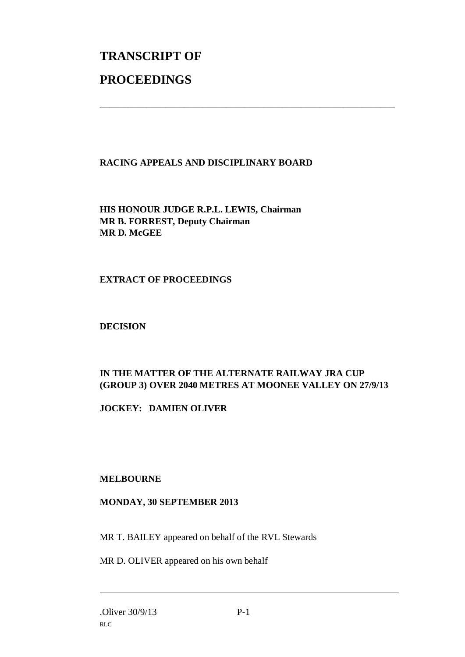# **TRANSCRIPT OF PROCEEDINGS**

# **RACING APPEALS AND DISCIPLINARY BOARD**

\_\_\_\_\_\_\_\_\_\_\_\_\_\_\_\_\_\_\_\_\_\_\_\_\_\_\_\_\_\_\_\_\_\_\_\_\_\_\_\_\_\_\_\_\_\_\_\_\_\_\_\_\_\_\_\_\_\_\_\_\_\_\_

**HIS HONOUR JUDGE R.P.L. LEWIS, Chairman MR B. FORREST, Deputy Chairman MR D. McGEE**

#### **EXTRACT OF PROCEEDINGS**

#### **DECISION**

# **IN THE MATTER OF THE ALTERNATE RAILWAY JRA CUP (GROUP 3) OVER 2040 METRES AT MOONEE VALLEY ON 27/9/13**

**JOCKEY: DAMIEN OLIVER**

# **MELBOURNE**

# **MONDAY, 30 SEPTEMBER 2013**

MR T. BAILEY appeared on behalf of the RVL Stewards

MR D. OLIVER appeared on his own behalf